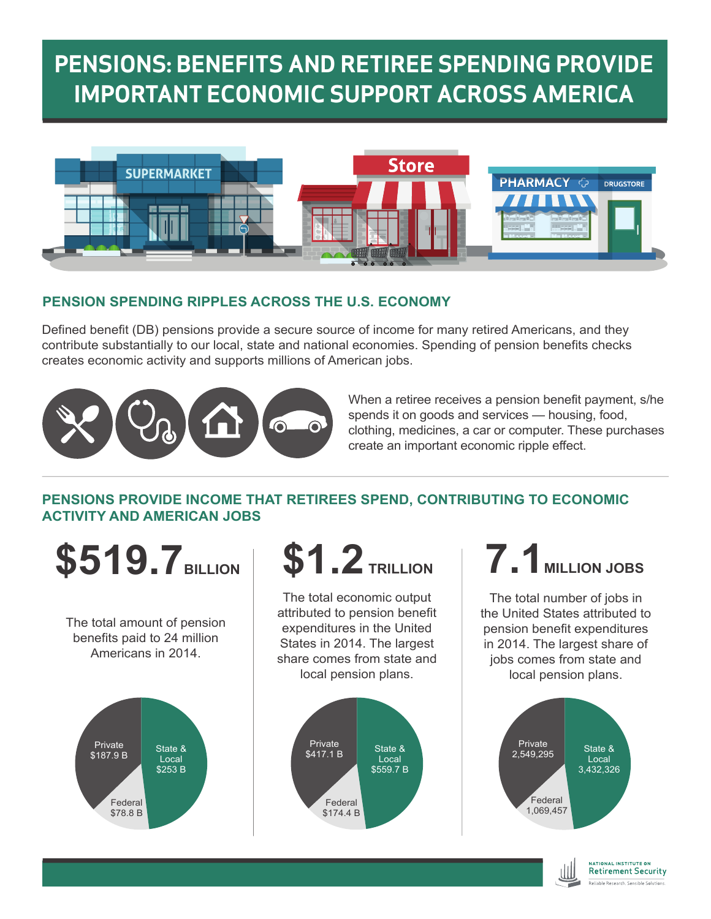# **PENSIONS: BENEFITS AND RETIREE SPENDING PROVIDE IMPORTANT ECONOMIC SUPPORT ACROSS AMERICA**



### **PENSION SPENDING RIPPLES ACROSS THE U.S. ECONOMY**

Defined benefit (DB) pensions provide a secure source of income for many retired Americans, and they contribute substantially to our local, state and national economies. Spending of pension benefits checks creates economic activity and supports millions of American jobs.



When a retiree receives a pension benefit payment, s/he spends it on goods and services — housing, food, clothing, medicines, a car or computer. These purchases create an important economic ripple effect.

### **PENSIONS PROVIDE INCOME THAT RETIREES SPEND, CONTRIBUTING TO ECONOMIC ACTIVITY AND AMERICAN JOBS**

**\$519.7** BILLION **\$1.2** TRILLION **7.1** MILLION JOBS

The total amount of pension benefits paid to 24 million Americans in 2014.





The total economic output attributed to pension benefit expenditures in the United States in 2014. The largest share comes from state and local pension plans.



The total number of jobs in the United States attributed to pension benefit expenditures in 2014. The largest share of jobs comes from state and local pension plans.